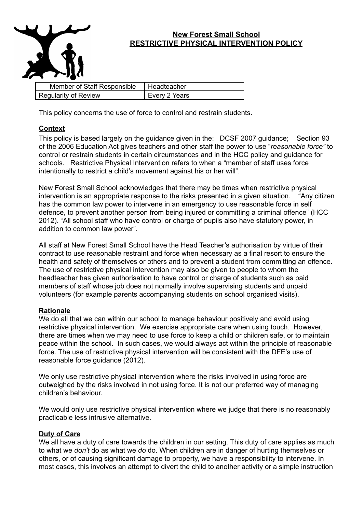

## **New Forest Small School RESTRICTIVE PHYSICAL INTERVENTION POLICY**

| Member of Staff Responsible | Headteacher          |
|-----------------------------|----------------------|
| <b>Regularity of Review</b> | <b>Every 2 Years</b> |

This policy concerns the use of force to control and restrain students.

## **Context**

This policy is based largely on the guidance given in the: DCSF 2007 guidance; Section 93 of the 2006 Education Act gives teachers and other staff the power to use "*reasonable force"* to control or restrain students in certain circumstances and in the HCC policy and guidance for schools. Restrictive Physical Intervention refers to when a "member of staff uses force intentionally to restrict a child's movement against his or her will".

New Forest Small School acknowledges that there may be times when restrictive physical intervention is an appropriate response to the risks presented in a given situation. "Any citizen has the common law power to intervene in an emergency to use reasonable force in self defence, to prevent another person from being injured or committing a criminal offence" (HCC 2012). "All school staff who have control or charge of pupils also have statutory power, in addition to common law power".

All staff at New Forest Small School have the Head Teacher's authorisation by virtue of their contract to use reasonable restraint and force when necessary as a final resort to ensure the health and safety of themselves or others and to prevent a student from committing an offence. The use of restrictive physical intervention may also be given to people to whom the headteacher has given authorisation to have control or charge of students such as paid members of staff whose job does not normally involve supervising students and unpaid volunteers (for example parents accompanying students on school organised visits).

## **Rationale**

We do all that we can within our school to manage behaviour positively and avoid using restrictive physical intervention. We exercise appropriate care when using touch. However, there are times when we may need to use force to keep a child or children safe, or to maintain peace within the school. In such cases, we would always act within the principle of reasonable force. The use of restrictive physical intervention will be consistent with the DFE's use of reasonable force guidance (2012).

We only use restrictive physical intervention where the risks involved in using force are outweighed by the risks involved in not using force. It is not our preferred way of managing children's behaviour.

We would only use restrictive physical intervention where we judge that there is no reasonably practicable less intrusive alternative.

## **Duty of Care**

We all have a duty of care towards the children in our setting. This duty of care applies as much to what we *don't* do as what we *do* do. When children are in danger of hurting themselves or others, or of causing significant damage to property, we have a responsibility to intervene. In most cases, this involves an attempt to divert the child to another activity or a simple instruction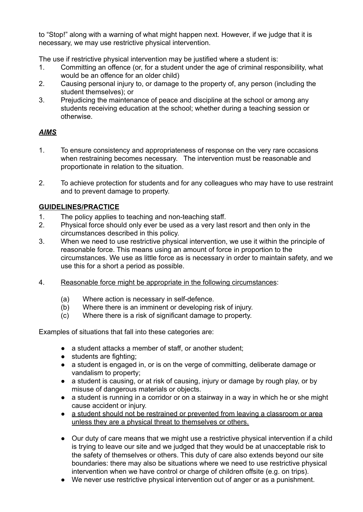to "Stop!" along with a warning of what might happen next. However, if we judge that it is necessary, we may use restrictive physical intervention.

The use if restrictive physical intervention may be justified where a student is:

- 1. Committing an offence (or, for a student under the age of criminal responsibility, what would be an offence for an older child)
- 2. Causing personal injury to, or damage to the property of, any person (including the student themselves); or
- 3. Prejudicing the maintenance of peace and discipline at the school or among any students receiving education at the school; whether during a teaching session or otherwise.

## *AIMS*

- 1. To ensure consistency and appropriateness of response on the very rare occasions when restraining becomes necessary. The intervention must be reasonable and proportionate in relation to the situation.
- 2. To achieve protection for students and for any colleagues who may have to use restraint and to prevent damage to property.

# **GUIDELINES/PRACTICE**

- 1. The policy applies to teaching and non-teaching staff.
- 2. Physical force should only ever be used as a very last resort and then only in the circumstances described in this policy.
- 3. When we need to use restrictive physical intervention, we use it within the principle of reasonable force. This means using an amount of force in proportion to the circumstances. We use as little force as is necessary in order to maintain safety, and we use this for a short a period as possible.
- 4. Reasonable force might be appropriate in the following circumstances:
	- (a) Where action is necessary in self-defence.
	- (b) Where there is an imminent or developing risk of injury.
	- (c) Where there is a risk of significant damage to property.

Examples of situations that fall into these categories are:

- a student attacks a member of staff, or another student;
- students are fighting:
- a student is engaged in, or is on the verge of committing, deliberate damage or vandalism to property;
- a student is causing, or at risk of causing, injury or damage by rough play, or by misuse of dangerous materials or objects.
- a student is running in a corridor or on a stairway in a way in which he or she might cause accident or injury.
- a student should not be restrained or prevented from leaving a classroom or area unless they are a physical threat to themselves or others.
- Our duty of care means that we might use a restrictive physical intervention if a child is trying to leave our site and we judged that they would be at unacceptable risk to the safety of themselves or others. This duty of care also extends beyond our site boundaries: there may also be situations where we need to use restrictive physical intervention when we have control or charge of children offsite (e.g. on trips).
- We never use restrictive physical intervention out of anger or as a punishment.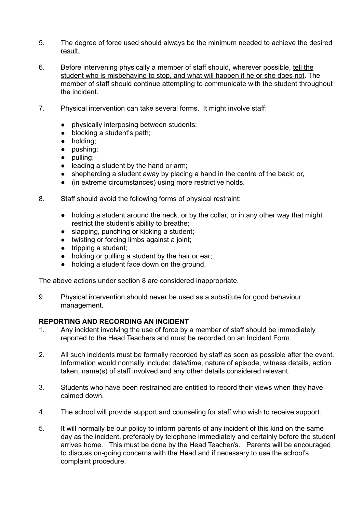- 5. The degree of force used should always be the minimum needed to achieve the desired result.
- 6. Before intervening physically a member of staff should, wherever possible, tell the student who is misbehaving to stop, and what will happen if he or she does not. The member of staff should continue attempting to communicate with the student throughout the incident.
- 7. Physical intervention can take several forms. It might involve staff:
	- physically interposing between students;
	- blocking a student's path;
	- holding;
	- pushing;
	- pulling;
	- leading a student by the hand or arm;
	- shepherding a student away by placing a hand in the centre of the back; or,
	- (in extreme circumstances) using more restrictive holds.
- 8. Staff should avoid the following forms of physical restraint:
	- holding a student around the neck, or by the collar, or in any other way that might restrict the student's ability to breathe;
	- slapping, punching or kicking a student;
	- twisting or forcing limbs against a joint;
	- $\bullet$  tripping a student;
	- holding or pulling a student by the hair or ear;
	- holding a student face down on the ground.

The above actions under section 8 are considered inappropriate.

9. Physical intervention should never be used as a substitute for good behaviour management.

#### **REPORTING AND RECORDING AN INCIDENT**

- 1. Any incident involving the use of force by a member of staff should be immediately reported to the Head Teachers and must be recorded on an Incident Form.
- 2. All such incidents must be formally recorded by staff as soon as possible after the event. Information would normally include: date/time, nature of episode, witness details, action taken, name(s) of staff involved and any other details considered relevant.
- 3. Students who have been restrained are entitled to record their views when they have calmed down.
- 4. The school will provide support and counseling for staff who wish to receive support.
- 5. It will normally be our policy to inform parents of any incident of this kind on the same day as the incident, preferably by telephone immediately and certainly before the student arrives home. This must be done by the Head Teacher/s. Parents will be encouraged to discuss on-going concerns with the Head and if necessary to use the school's complaint procedure.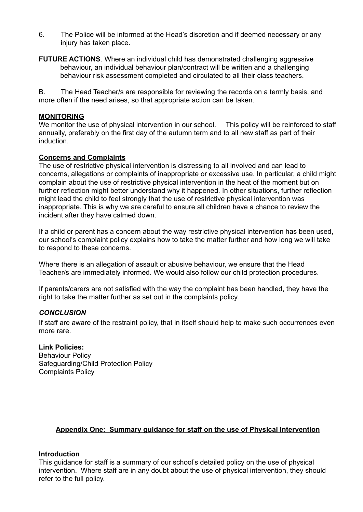- 6. The Police will be informed at the Head's discretion and if deemed necessary or any injury has taken place.
- **FUTURE ACTIONS**. Where an individual child has demonstrated challenging aggressive behaviour, an individual behaviour plan/contract will be written and a challenging behaviour risk assessment completed and circulated to all their class teachers.

B. The Head Teacher/s are responsible for reviewing the records on a termly basis, and more often if the need arises, so that appropriate action can be taken.

#### **MONITORING**

We monitor the use of physical intervention in our school. This policy will be reinforced to staff annually, preferably on the first day of the autumn term and to all new staff as part of their induction.

## **Concerns and Complaints**

The use of restrictive physical intervention is distressing to all involved and can lead to concerns, allegations or complaints of inappropriate or excessive use. In particular, a child might complain about the use of restrictive physical intervention in the heat of the moment but on further reflection might better understand why it happened. In other situations, further reflection might lead the child to feel strongly that the use of restrictive physical intervention was inappropriate. This is why we are careful to ensure all children have a chance to review the incident after they have calmed down.

If a child or parent has a concern about the way restrictive physical intervention has been used, our school's complaint policy explains how to take the matter further and how long we will take to respond to these concerns.

Where there is an allegation of assault or abusive behaviour, we ensure that the Head Teacher/s are immediately informed. We would also follow our child protection procedures.

If parents/carers are not satisfied with the way the complaint has been handled, they have the right to take the matter further as set out in the complaints policy.

#### *CONCLUSION*

If staff are aware of the restraint policy, that in itself should help to make such occurrences even more rare.

#### **Link Policies:**

Behaviour Policy Safeguarding/Child Protection Policy Complaints Policy

## **Appendix One: Summary guidance for staff on the use of Physical Intervention**

#### **Introduction**

This guidance for staff is a summary of our school's detailed policy on the use of physical intervention. Where staff are in any doubt about the use of physical intervention, they should refer to the full policy.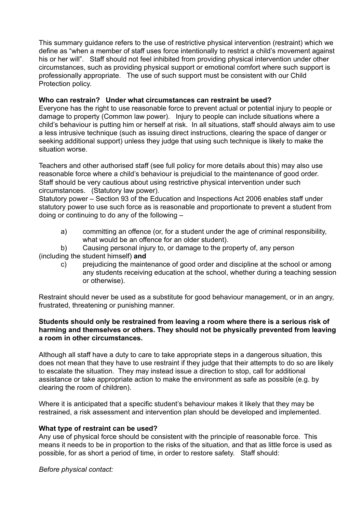This summary guidance refers to the use of restrictive physical intervention (restraint) which we define as "when a member of staff uses force intentionally to restrict a child's movement against his or her will". Staff should not feel inhibited from providing physical intervention under other circumstances, such as providing physical support or emotional comfort where such support is professionally appropriate. The use of such support must be consistent with our Child Protection policy.

## **Who can restrain? Under what circumstances can restraint be used?**

Everyone has the right to use reasonable force to prevent actual or potential injury to people or damage to property (Common law power). Injury to people can include situations where a child's behaviour is putting him or herself at risk. In all situations, staff should always aim to use a less intrusive technique (such as issuing direct instructions, clearing the space of danger or seeking additional support) unless they judge that using such technique is likely to make the situation worse.

Teachers and other authorised staff (see full policy for more details about this) may also use reasonable force where a child's behaviour is prejudicial to the maintenance of good order. Staff should be very cautious about using restrictive physical intervention under such circumstances. (Statutory law power).

Statutory power – Section 93 of the Education and Inspections Act 2006 enables staff under statutory power to use such force as is reasonable and proportionate to prevent a student from doing or continuing to do any of the following –

- a) committing an offence (or, for a student under the age of criminal responsibility, what would be an offence for an older student).
- b) Causing personal injury to, or damage to the property of, any person (including the student himself) **and**
	- c) prejudicing the maintenance of good order and discipline at the school or among any students receiving education at the school, whether during a teaching session or otherwise).

Restraint should never be used as a substitute for good behaviour management, or in an angry, frustrated, threatening or punishing manner.

#### **Students should only be restrained from leaving a room where there is a serious risk of harming and themselves or others. They should not be physically prevented from leaving a room in other circumstances.**

Although all staff have a duty to care to take appropriate steps in a dangerous situation, this does not mean that they have to use restraint if they judge that their attempts to do so are likely to escalate the situation. They may instead issue a direction to stop, call for additional assistance or take appropriate action to make the environment as safe as possible (e.g. by clearing the room of children).

Where it is anticipated that a specific student's behaviour makes it likely that they may be restrained, a risk assessment and intervention plan should be developed and implemented.

#### **What type of restraint can be used?**

Any use of physical force should be consistent with the principle of reasonable force. This means it needs to be in proportion to the risks of the situation, and that as little force is used as possible, for as short a period of time, in order to restore safety. Staff should:

*Before physical contact:*